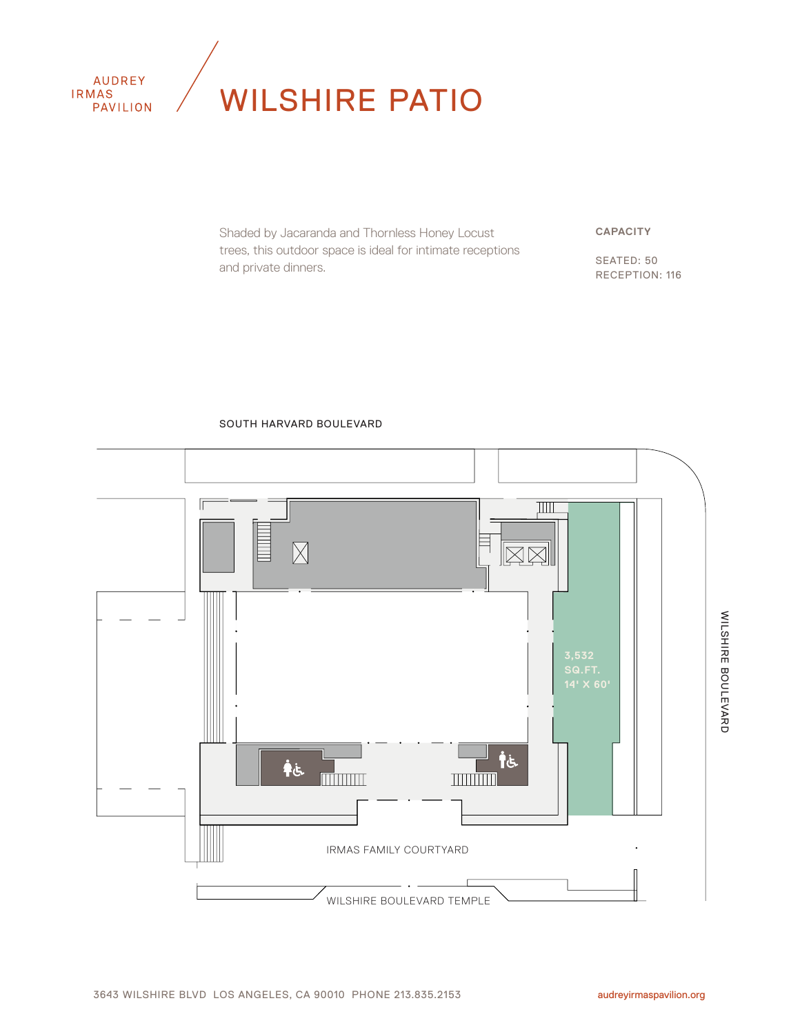

Shaded by Jacaranda and Thornless Honey Locust trees, this outdoor space is ideal for intimate receptions and private dinners.

**CAPACITY**

SEATED: 50 RECEPTION: 116

#### SOUTH HARVARD BOULEVARD

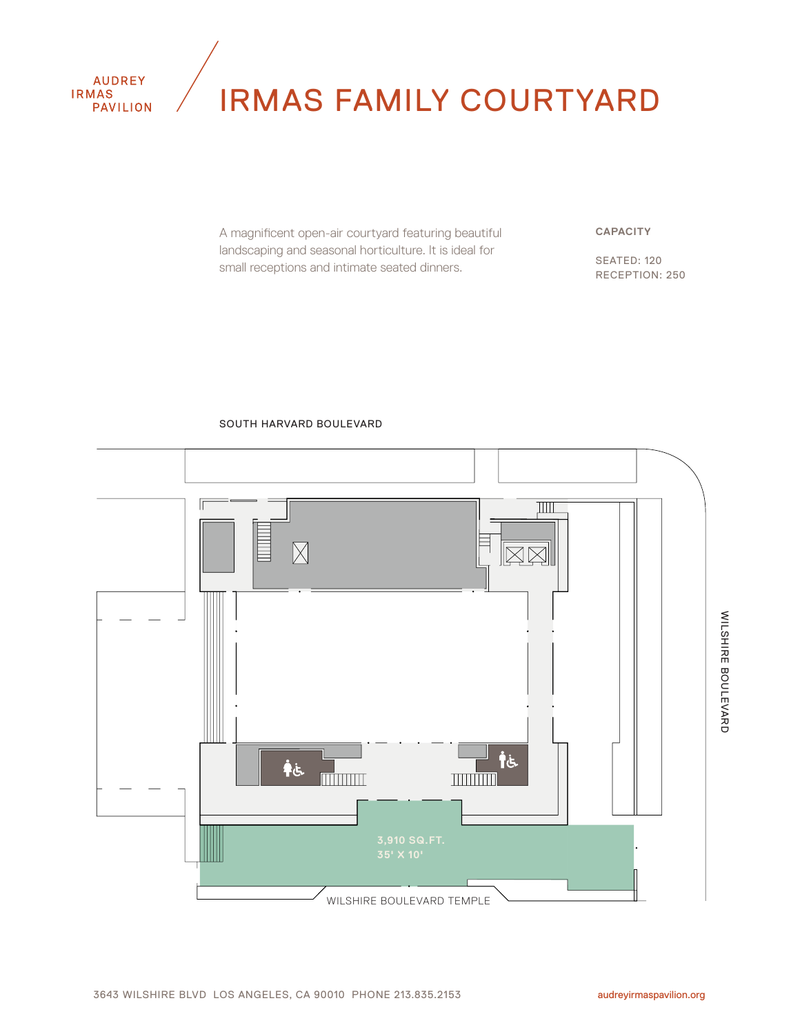

# IRMAS FAMILY COURTYARD

A magnificent open-air courtyard featuring beautiful landscaping and seasonal horticulture. It is ideal for small receptions and intimate seated dinners.

#### **CAPACITY**

SEATED: 120 RECEPTION: 250



#### SOUTH HARVARD BOULEVARD

WILSHIRE BOULEVARD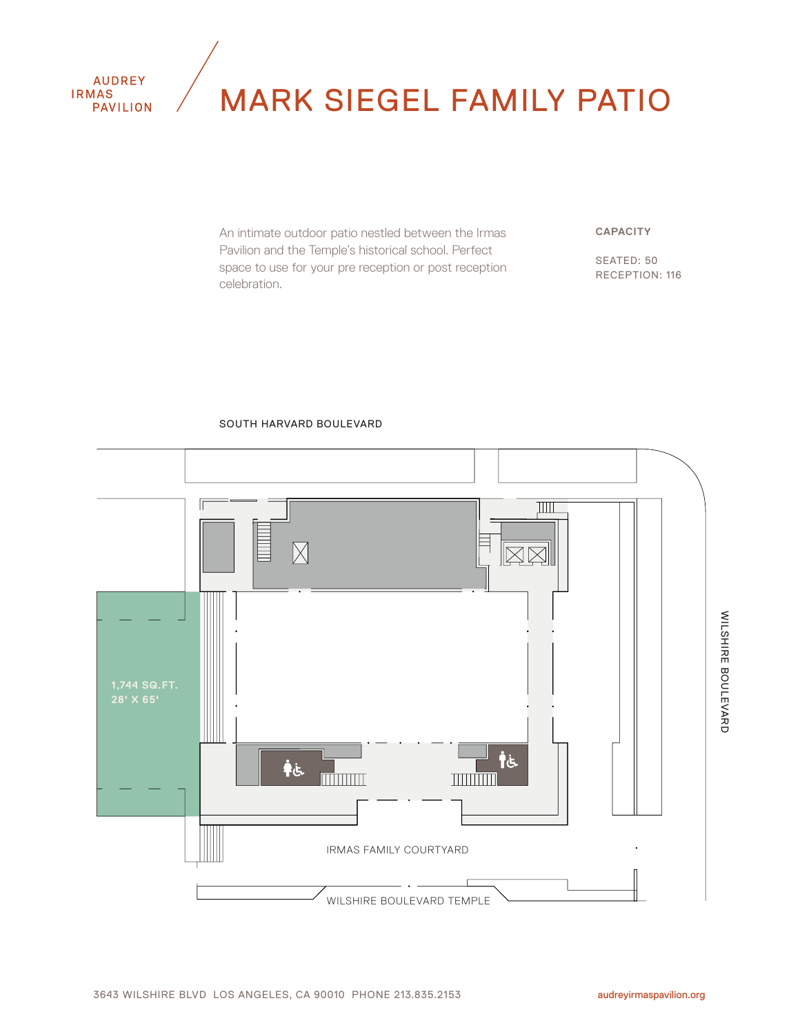

## MARK SIEGEL FAMILY PATIO

An intimate outdoor patio nestled between the Irmas Pavilion and the Temple's historical school. Perfect space to use for your pre reception or post reception celebration.

#### **CAPACITY**

SEATED: 50 RECEPTION: 116

#### SOUTH HARVARD BOULEVARD

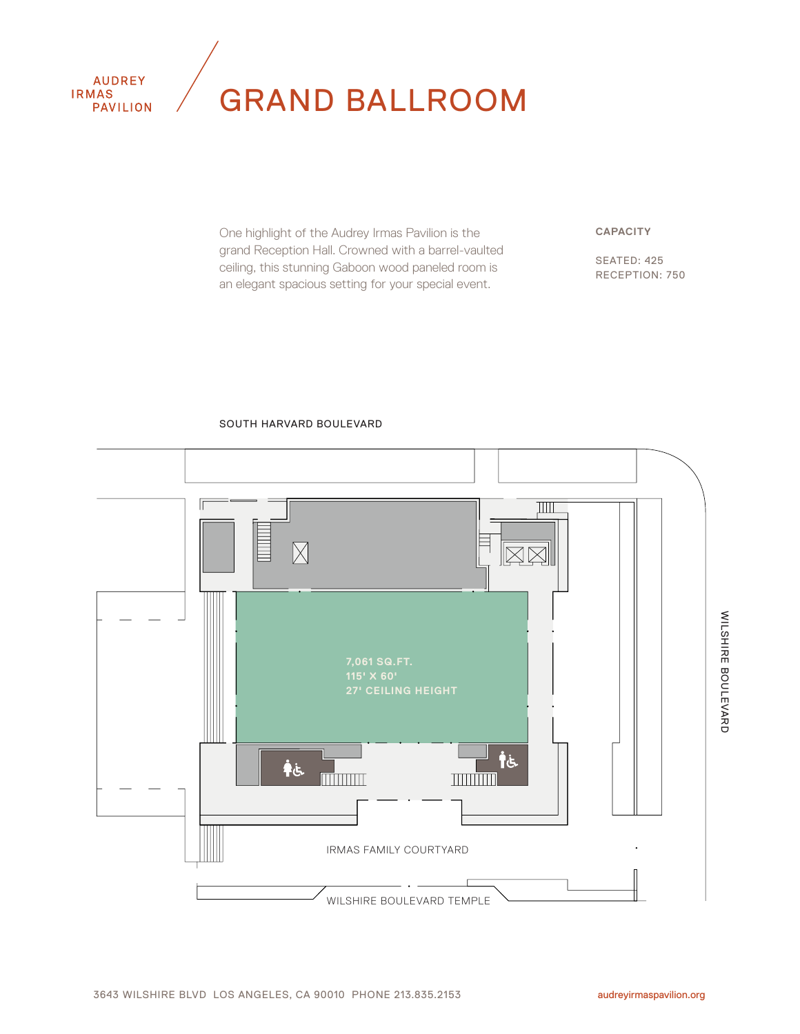

## GRAND BALLROOM

One highlight of the Audrey Irmas Pavilion is the grand Reception Hall. Crowned with a barrel-vaulted ceiling, this stunning Gaboon wood paneled room is an elegant spacious setting for your special event.

**CAPACITY**

SEATED: 425 RECEPTION: 750

#### SOUTH HARVARD BOULEVARD



audreyirmaspavilion.org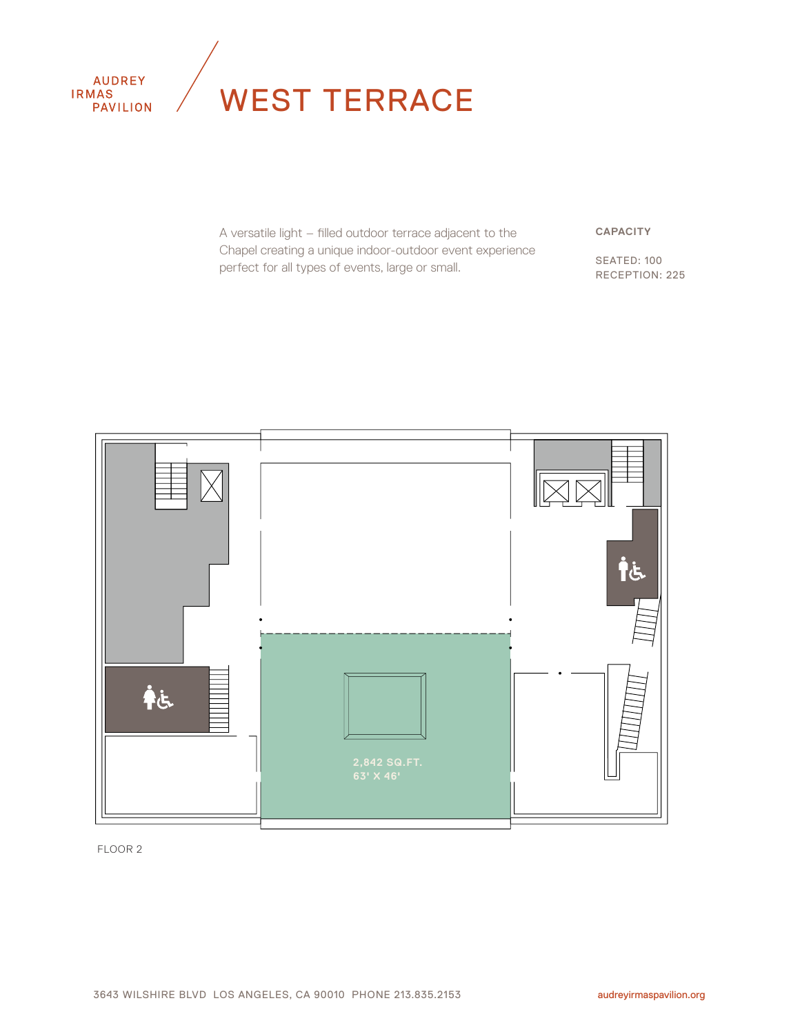

# WEST TERRACE

A versatile light – filled outdoor terrace adjacent to the Chapel creating a unique indoor-outdoor event experience perfect for all types of events, large or small.

**CAPACITY**

SEATED: 100 RECEPTION: 225

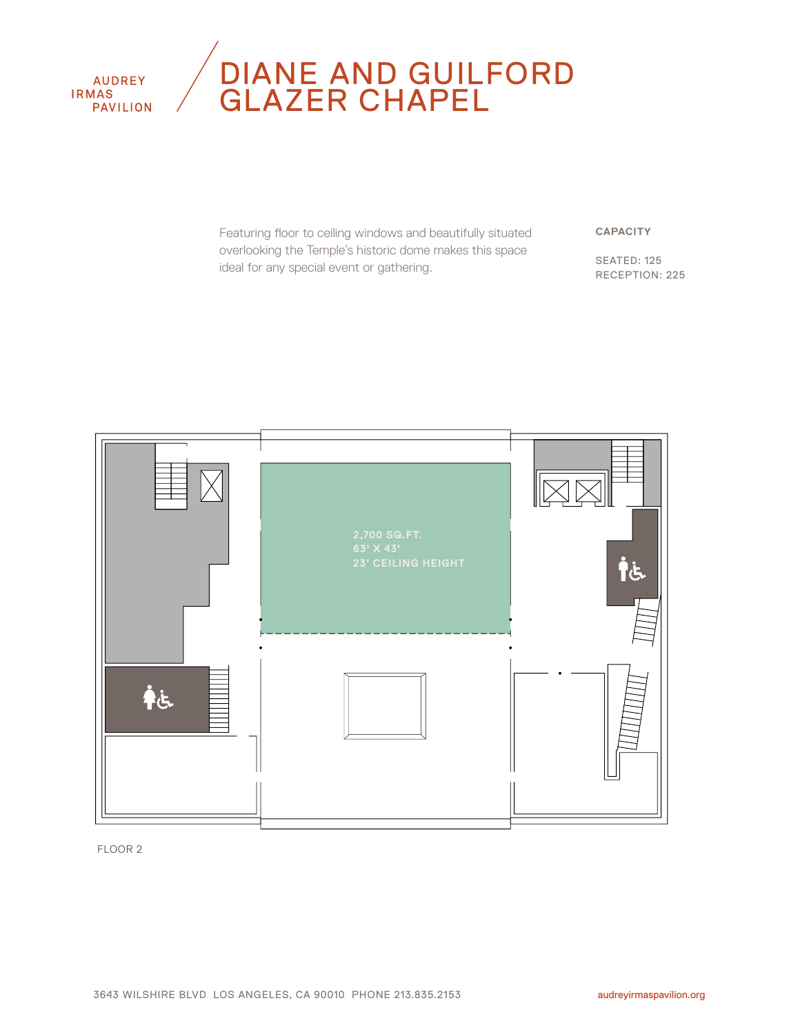**AUDREY IRMAS PAVILION** 

### DIANE AND GUILFORD GLAZER CHAPEL

Featuring floor to ceiling windows and beautifully situated overlooking the Temple's historic dome makes this space ideal for any special event or gathering.

**CAPACITY**

SEATED: 125 RECEPTION: 225

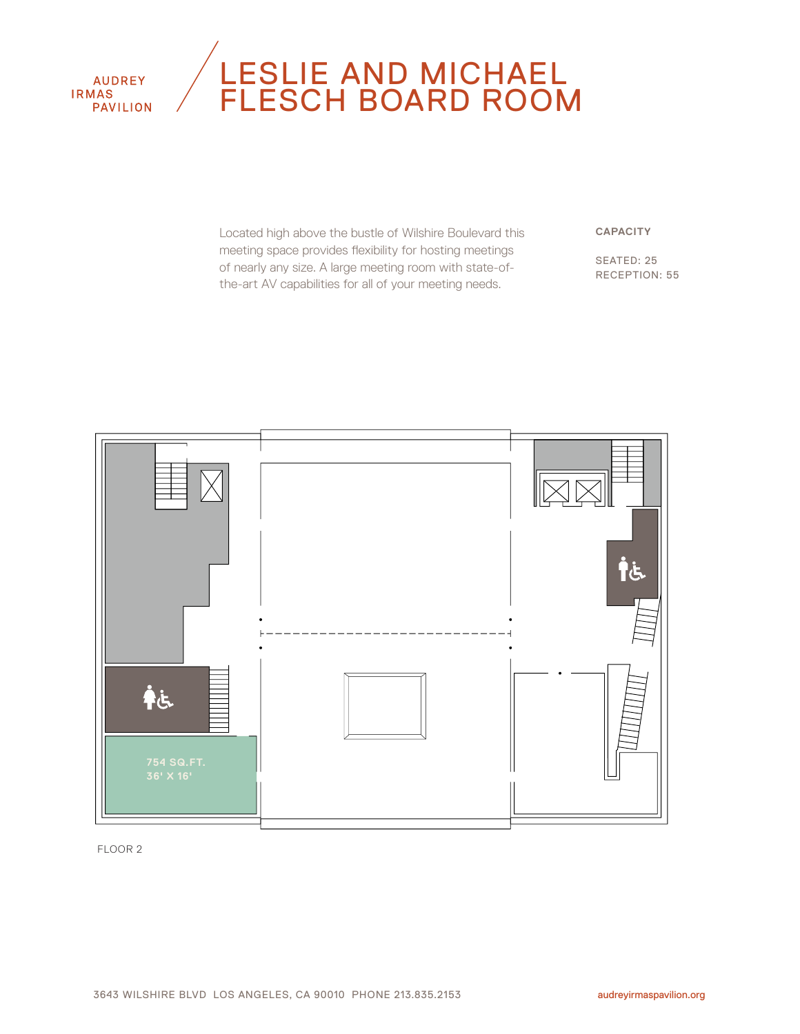

### LESLIE AND MICHAEL FLESCH BOARD ROOM

Located high above the bustle of Wilshire Boulevard this meeting space provides flexibility for hosting meetings of nearly any size. A large meeting room with state-ofthe-art AV capabilities for all of your meeting needs.

**CAPACITY**

SEATED: 25 RECEPTION: 55

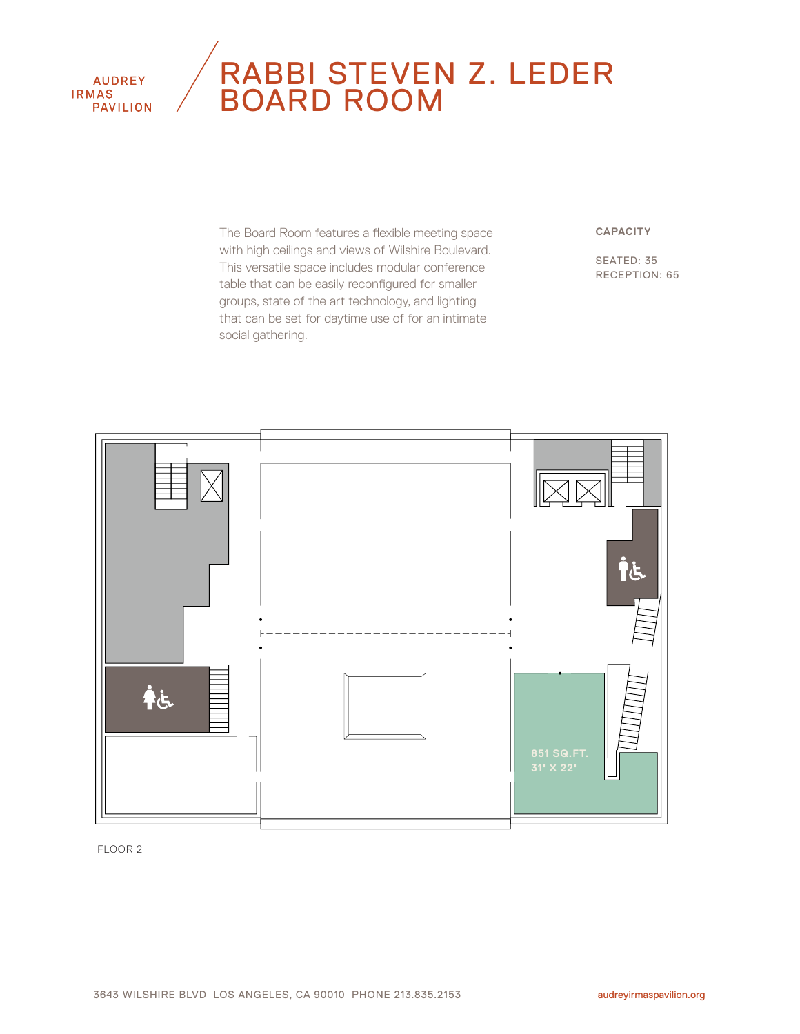#### **AUDREY IRMAS PAVILION**

### RABBI STEVEN Z. LEDER BOARD ROOM

The Board Room features a flexible meeting space with high ceilings and views of Wilshire Boulevard. This versatile space includes modular conference table that can be easily reconfigured for smaller groups, state of the art technology, and lighting that can be set for daytime use of for an intimate social gathering.

#### **CAPACITY**

SEATED: 35 RECEPTION: 65